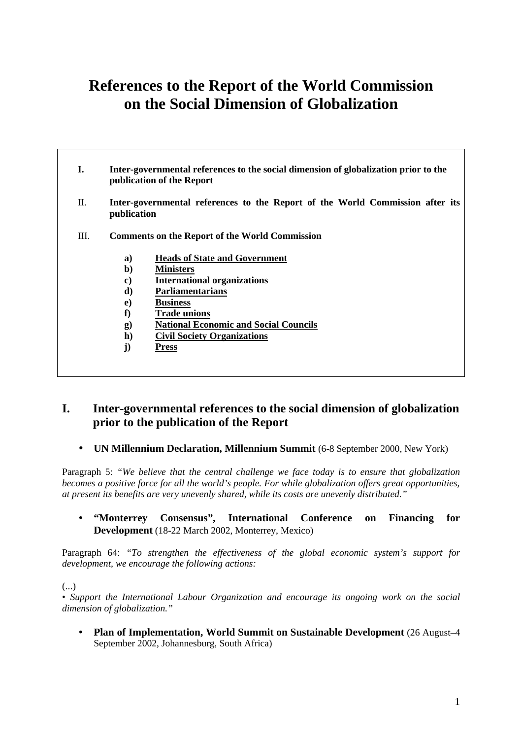# **References to the Report of the World Commission on the Social Dimension of Globalization**

- **I. Inter-governmental references to the social dimension of globalization prior to the publication of the Report**
- II. **Inter-governmental references to the Report of the World Commission after its publication**
- III. **Comments on the Report of the World Commission**
	- **a) Heads of State and Government**
	- **b) Ministers**
	- **c) International organizations**
	- **d) Parliamentarians**
	- **e) Business**
	- **f) Trade unions**
	- **g) National Economic and Social Councils**
	- **h) Civil Society Organizations**
	- **j) Press**

# **I. Inter-governmental references to the social dimension of globalization prior to the publication of the Report**

• **UN Millennium Declaration, Millennium Summit** (6-8 September 2000, New York)

Paragraph 5: *"We believe that the central challenge we face today is to ensure that globalization becomes a positive force for all the world's people. For while globalization offers great opportunities, at present its benefits are very unevenly shared, while its costs are unevenly distributed."*

• **"Monterrey Consensus", International Conference on Financing for Development** (18-22 March 2002, Monterrey, Mexico)

Paragraph 64: *"To strengthen the effectiveness of the global economic system's support for development, we encourage the following actions:*

(...)

• *Support the International Labour Organization and encourage its ongoing work on the social dimension of globalization."*

• **Plan of Implementation, World Summit on Sustainable Development** (26 August–4 September 2002, Johannesburg, South Africa)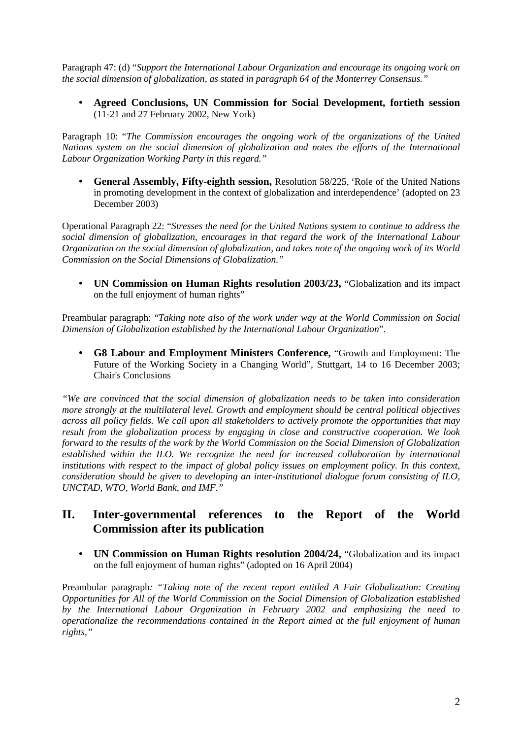Paragraph 47: (d) "*Support the International Labour Organization and encourage its ongoing work on the social dimension of globalization, as stated in paragraph 64 of the Monterrey Consensus."*

• **Agreed Conclusions, UN Commission for Social Development, fortieth session** (11-21 and 27 February 2002, New York)

Paragraph 10: "*The Commission encourages the ongoing work of the organizations of the United Nations system on the social dimension of globalization and notes the efforts of the International Labour Organization Working Party in this regard."*

• **General Assembly, Fifty-eighth session,** Resolution 58/225, 'Role of the United Nations in promoting development in the context of globalization and interdependence' (adopted on 23 December 2003)

Operational Paragraph 22: "*Stresses the need for the United Nations system to continue to address the social dimension of globalization, encourages in that regard the work of the International Labour Organization on the social dimension of globalization, and takes note of the ongoing work of its World Commission on the Social Dimensions of Globalization."*

• **UN Commission on Human Rights resolution 2003/23,** "Globalization and its impact on the full enjoyment of human rights"

Preambular paragraph: "*Taking note also of the work under way at the World Commission on Social Dimension of Globalization established by the International Labour Organization*".

• **G8 Labour and Employment Ministers Conference,** "Growth and Employment: The Future of the Working Society in a Changing World", Stuttgart, 14 to 16 December 2003; Chair's Conclusions

*"We are convinced that the social dimension of globalization needs to be taken into consideration more strongly at the multilateral level. Growth and employment should be central political objectives across all policy fields. We call upon all stakeholders to actively promote the opportunities that may result from the globalization process by engaging in close and constructive cooperation. We look forward to the results of the work by the World Commission on the Social Dimension of Globalization established within the ILO. We recognize the need for increased collaboration by international institutions with respect to the impact of global policy issues on employment policy. In this context, consideration should be given to developing an inter-institutional dialogue forum consisting of ILO, UNCTAD, WTO, World Bank, and IMF."*

## **II. Inter-governmental references to the Report of the World Commission after its publication**

• **UN Commission on Human Rights resolution 2004/24,** "Globalization and its impact on the full enjoyment of human rights" (adopted on 16 April 2004)

Preambular paragraph*: "Taking note of the recent report entitled A Fair Globalization: Creating Opportunities for All of the World Commission on the Social Dimension of Globalization established by the International Labour Organization in February 2002 and emphasizing the need to operationalize the recommendations contained in the Report aimed at the full enjoyment of human rights,"*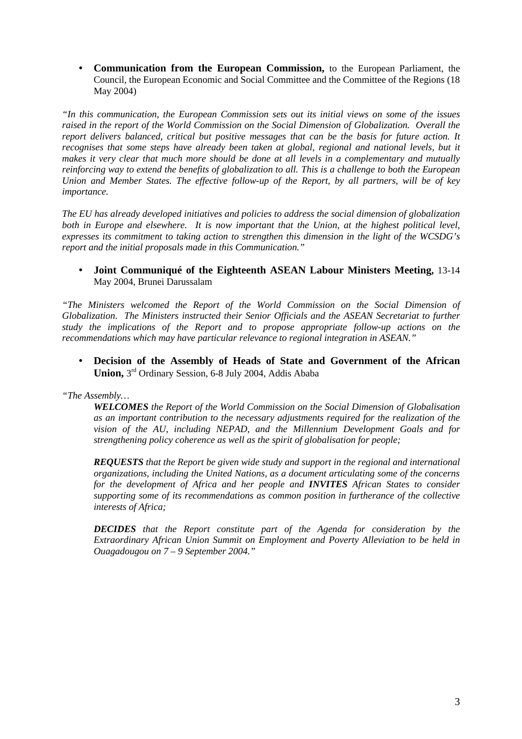• **Communication from the European Commission,** to the European Parliament, the Council, the European Economic and Social Committee and the Committee of the Regions (18 May 2004)

*"In this communication, the European Commission sets out its initial views on some of the issues raised in the report of the World Commission on the Social Dimension of Globalization. Overall the report delivers balanced, critical but positive messages that can be the basis for future action. It recognises that some steps have already been taken at global, regional and national levels, but it makes it very clear that much more should be done at all levels in a complementary and mutually reinforcing way to extend the benefits of globalization to all. This is a challenge to both the European Union and Member States. The effective follow-up of the Report, by all partners, will be of key importance.*

*The EU has already developed initiatives and policies to address the social dimension of globalization both in Europe and elsewhere. It is now important that the Union, at the highest political level, expresses its commitment to taking action to strengthen this dimension in the light of the WCSDG's report and the initial proposals made in this Communication."*

#### • **Joint Communiqué of the Eighteenth ASEAN Labour Ministers Meeting,** 13-14 May 2004, Brunei Darussalam

*"The Ministers welcomed the Report of the World Commission on the Social Dimension of Globalization. The Ministers instructed their Senior Officials and the ASEAN Secretariat to further study the implications of the Report and to propose appropriate follow-up actions on the recommendations which may have particular relevance to regional integration in ASEAN."*

• **Decision of the Assembly of Heads of State and Government of the African Union,** 3 rd Ordinary Session, 6-8 July 2004, Addis Ababa

*"The Assembly…*

*WELCOMES the Report of the World Commission on the Social Dimension of Globalisation as an important contribution to the necessary adjustments required for the realization of the vision of the AU, including NEPAD, and the Millennium Development Goals and for strengthening policy coherence as well as the spirit of globalisation for people;*

*REQUESTS that the Report be given wide study and support in the regional and international organizations, including the United Nations, as a document articulating some of the concerns for the development of Africa and her people and INVITES African States to consider supporting some of its recommendations as common position in furtherance of the collective interests of Africa;*

*DECIDES that the Report constitute part of the Agenda for consideration by the Extraordinary African Union Summit on Employment and Poverty Alleviation to be held in Ouagadougou on 7 – 9 September 2004."*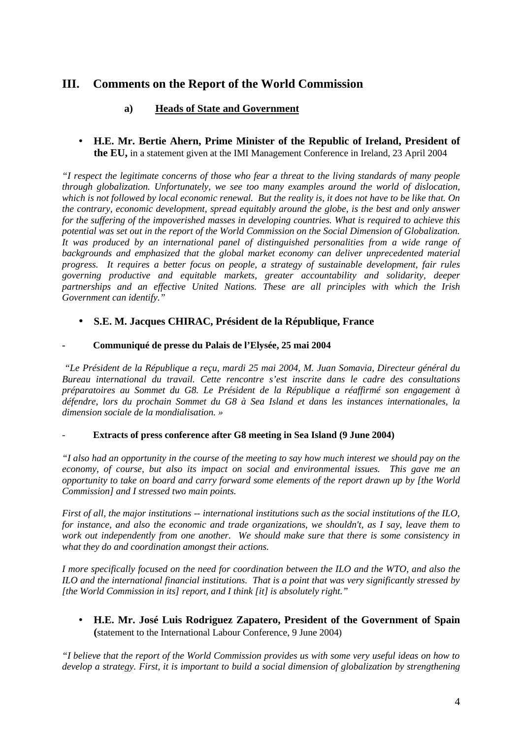# **III. Comments on the Report of the World Commission**

## **a) Heads of State and Government**

• **H.E. Mr. Bertie Ahern, Prime Minister of the Republic of Ireland, President of the EU,** in a statement given at the IMI Management Conference in Ireland, 23 April 2004

*"I respect the legitimate concerns of those who fear a threat to the living standards of many people through globalization. Unfortunately, we see too many examples around the world of dislocation, which is not followed by local economic renewal. But the reality is, it does not have to be like that. On the contrary, economic development, spread equitably around the globe, is the best and only answer for the suffering of the impoverished masses in developing countries. What is required to achieve this potential was set out in the report of the World Commission on the Social Dimension of Globalization. It was produced by an international panel of distinguished personalities from a wide range of backgrounds and emphasized that the global market economy can deliver unprecedented material progress. It requires a better focus on people, a strategy of sustainable development, fair rules governing productive and equitable markets, greater accountability and solidarity, deeper partnerships and an effective United Nations. These are all principles with which the Irish Government can identify."*

## • **S.E. M. Jacques CHIRAC, Président de la République, France**

#### **- Communiqué de presse du Palais de l'Elysée, 25 mai 2004**

 *"Le Président de la République a reçu, mardi 25 mai 2004, M. Juan Somavia, Directeur général du Bureau international du travail. Cette rencontre s'est inscrite dans le cadre des consultations préparatoires au Sommet du G8. Le Président de la République a réaffirmé son engagement à défendre, lors du prochain Sommet du G8 à Sea Island et dans les instances internationales, la dimension sociale de la mondialisation. »*

#### - **Extracts of press conference after G8 meeting in Sea Island (9 June 2004)**

*"I also had an opportunity in the course of the meeting to say how much interest we should pay on the economy, of course, but also its impact on social and environmental issues. This gave me an opportunity to take on board and carry forward some elements of the report drawn up by [the World Commission] and I stressed two main points.*

*First of all, the major institutions -- international institutions such as the social institutions of the ILO, for instance, and also the economic and trade organizations, we shouldn't, as I say, leave them to work out independently from one another. We should make sure that there is some consistency in what they do and coordination amongst their actions.*

*I more specifically focused on the need for coordination between the ILO and the WTO, and also the ILO and the international financial institutions. That is a point that was very significantly stressed by [the World Commission in its] report, and I think [it] is absolutely right."*

• **H.E. Mr. José Luis Rodriguez Zapatero, President of the Government of Spain (**statement to the International Labour Conference, 9 June 2004)

*"I believe that the report of the World Commission provides us with some very useful ideas on how to develop a strategy. First, it is important to build a social dimension of globalization by strengthening*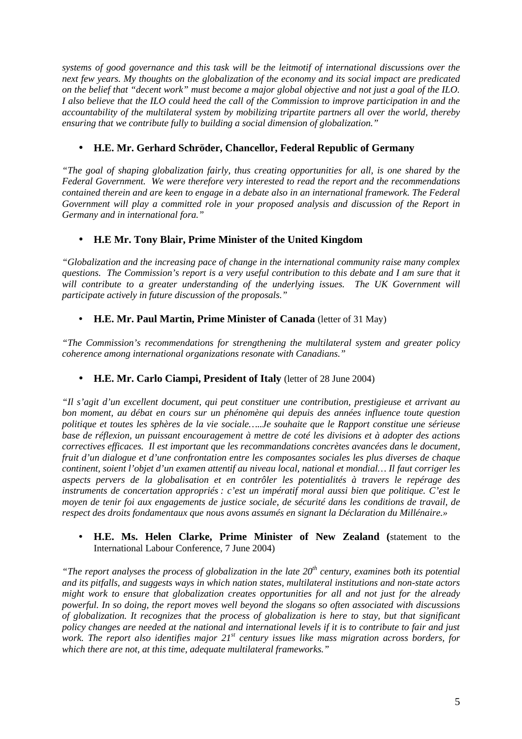*systems of good governance and this task will be the leitmotif of international discussions over the next few years. My thoughts on the globalization of the economy and its social impact are predicated on the belief that "decent work" must become a major global objective and not just a goal of the ILO. I also believe that the ILO could heed the call of the Commission to improve participation in and the accountability of the multilateral system by mobilizing tripartite partners all over the world, thereby ensuring that we contribute fully to building a social dimension of globalization."*

## • **H.E. Mr. Gerhard Schröder, Chancellor, Federal Republic of Germany**

*"The goal of shaping globalization fairly, thus creating opportunities for all, is one shared by the Federal Government. We were therefore very interested to read the report and the recommendations contained therein and are keen to engage in a debate also in an international framework. The Federal Government will play a committed role in your proposed analysis and discussion of the Report in Germany and in international fora."*

## • **H.E Mr. Tony Blair, Prime Minister of the United Kingdom**

*"Globalization and the increasing pace of change in the international community raise many complex questions. The Commission's report is a very useful contribution to this debate and I am sure that it* will contribute to a greater understanding of the underlying issues. The UK Government will *participate actively in future discussion of the proposals."*

## • **H.E. Mr. Paul Martin, Prime Minister of Canada** (letter of 31 May)

*"The Commission's recommendations for strengthening the multilateral system and greater policy coherence among international organizations resonate with Canadians."*

## • **H.E. Mr. Carlo Ciampi, President of Italy** (letter of 28 June 2004)

*"Il s'agit d'un excellent document, qui peut constituer une contribution, prestigieuse et arrivant au bon moment, au débat en cours sur un phénomène qui depuis des années influence toute question politique et toutes les sphères de la vie sociale…..Je souhaite que le Rapport constitue une sérieuse base de réflexion, un puissant encouragement à mettre de coté les divisions et à adopter des actions correctives efficaces. Il est important que les recommandations concrètes avancées dans le document, fruit d'un dialogue et d'une confrontation entre les composantes sociales les plus diverses de chaque continent, soient l'objet d'un examen attentif au niveau local, national et mondial… Il faut corriger les aspects pervers de la globalisation et en contrôler les potentialités à travers le repérage des instruments de concertation appropriés : c'est un impératif moral aussi bien que politique. C'est le moyen de tenir foi aux engagements de justice sociale, de sécurité dans les conditions de travail, de respect des droits fondamentaux que nous avons assumés en signant la Déclaration du Millénaire.»*

#### • **H.E. Ms. Helen Clarke, Prime Minister of New Zealand (**statement to the International Labour Conference, 7 June 2004)

*"The report analyses the process of globalization in the late 20th century, examines both its potential and its pitfalls, and suggests ways in which nation states, multilateral institutions and non-state actors might work to ensure that globalization creates opportunities for all and not just for the already powerful. In so doing, the report moves well beyond the slogans so often associated with discussions of globalization. It recognizes that the process of globalization is here to stay, but that significant policy changes are needed at the national and international levels if it is to contribute to fair and just work. The report also identifies major 21st century issues like mass migration across borders, for which there are not, at this time, adequate multilateral frameworks."*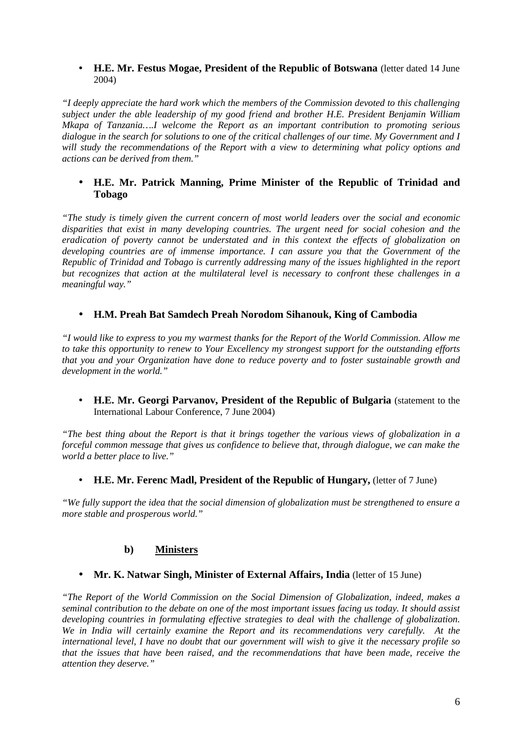#### • **H.E. Mr. Festus Mogae, President of the Republic of Botswana** (letter dated 14 June 2004)

*"I deeply appreciate the hard work which the members of the Commission devoted to this challenging subject under the able leadership of my good friend and brother H.E. President Benjamin William Mkapa of Tanzania….I welcome the Report as an important contribution to promoting serious dialogue in the search for solutions to one of the critical challenges of our time. My Government and I will study the recommendations of the Report with a view to determining what policy options and actions can be derived from them."*

#### • **H.E. Mr. Patrick Manning, Prime Minister of the Republic of Trinidad and Tobago**

*"The study is timely given the current concern of most world leaders over the social and economic disparities that exist in many developing countries. The urgent need for social cohesion and the eradication of poverty cannot be understated and in this context the effects of globalization on developing countries are of immense importance. I can assure you that the Government of the Republic of Trinidad and Tobago is currently addressing many of the issues highlighted in the report but recognizes that action at the multilateral level is necessary to confront these challenges in a meaningful way."*

#### • **H.M. Preah Bat Samdech Preah Norodom Sihanouk, King of Cambodia**

*"I would like to express to you my warmest thanks for the Report of the World Commission. Allow me to take this opportunity to renew to Your Excellency my strongest support for the outstanding efforts that you and your Organization have done to reduce poverty and to foster sustainable growth and development in the world."*

• **H.E. Mr. Georgi Parvanov, President of the Republic of Bulgaria** (statement to the International Labour Conference, 7 June 2004)

*"The best thing about the Report is that it brings together the various views of globalization in a forceful common message that gives us confidence to believe that, through dialogue, we can make the world a better place to live."*

• **H.E. Mr. Ferenc Madl, President of the Republic of Hungary,** (letter of 7 June)

*"We fully support the idea that the social dimension of globalization must be strengthened to ensure a more stable and prosperous world."*

## **b) Ministers**

• **Mr. K. Natwar Singh, Minister of External Affairs, India** (letter of 15 June)

*"The Report of the World Commission on the Social Dimension of Globalization, indeed, makes a seminal contribution to the debate on one of the most important issues facing us today. It should assist developing countries in formulating effective strategies to deal with the challenge of globalization. We in India will certainly examine the Report and its recommendations very carefully. At the international level, I have no doubt that our government will wish to give it the necessary profile so that the issues that have been raised, and the recommendations that have been made, receive the attention they deserve."*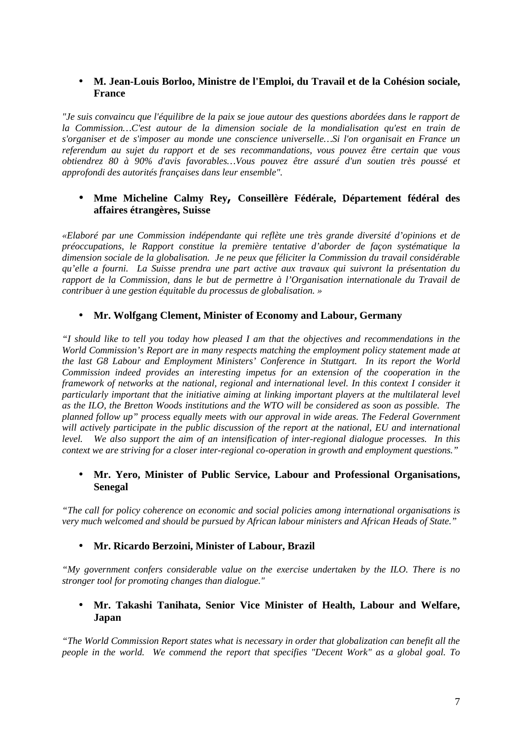#### • **M. Jean-Louis Borloo, Ministre de l'Emploi, du Travail et de la Cohésion sociale, France**

*"Je suis convaincu que l'équilibre de la paix se joue autour des questions abordées dans le rapport de la Commission…C'est autour de la dimension sociale de la mondialisation qu'est en train de s'organiser et de s'imposer au monde une conscience universelle…Si l'on organisait en France un referendum au sujet du rapport et de ses recommandations, vous pouvez être certain que vous obtiendrez 80 à 90% d'avis favorables…Vous pouvez être assuré d'un soutien très poussé et approfondi des autorités françaises dans leur ensemble".*

#### • **Mme Micheline Calmy Rey, Conseillère Fédérale, Département fédéral des affaires étrangères, Suisse**

*«Elaboré par une Commission indépendante qui reflète une très grande diversité d'opinions et de préoccupations, le Rapport constitue la première tentative d'aborder de façon systématique la dimension sociale de la globalisation. Je ne peux que féliciter la Commission du travail considérable qu'elle a fourni. La Suisse prendra une part active aux travaux qui suivront la présentation du rapport de la Commission, dans le but de permettre à l'Organisation internationale du Travail de contribuer à une gestion équitable du processus de globalisation. »*

## • **Mr. Wolfgang Clement, Minister of Economy and Labour, Germany**

*"I should like to tell you today how pleased I am that the objectives and recommendations in the World Commission's Report are in many respects matching the employment policy statement made at the last G8 Labour and Employment Ministers' Conference in Stuttgart. In its report the World Commission indeed provides an interesting impetus for an extension of the cooperation in the framework of networks at the national, regional and international level. In this context I consider it particularly important that the initiative aiming at linking important players at the multilateral level as the ILO, the Bretton Woods institutions and the WTO will be considered as soon as possible. The planned follow up" process equally meets with our approval in wide areas. The Federal Government will actively participate in the public discussion of the report at the national, EU and international level. We also support the aim of an intensification of inter-regional dialogue processes. In this context we are striving for a closer inter-regional co-operation in growth and employment questions."*

#### • **Mr. Yero, Minister of Public Service, Labour and Professional Organisations, Senegal**

*"The call for policy coherence on economic and social policies among international organisations is very much welcomed and should be pursued by African labour ministers and African Heads of State."*

## • **Mr. Ricardo Berzoini, Minister of Labour, Brazil**

*"My government confers considerable value on the exercise undertaken by the ILO. There is no stronger tool for promoting changes than dialogue."*

## • **Mr. Takashi Tanihata, Senior Vice Minister of Health, Labour and Welfare, Japan**

*"The World Commission Report states what is necessary in order that globalization can benefit all the people in the world. We commend the report that specifies "Decent Work" as a global goal. To*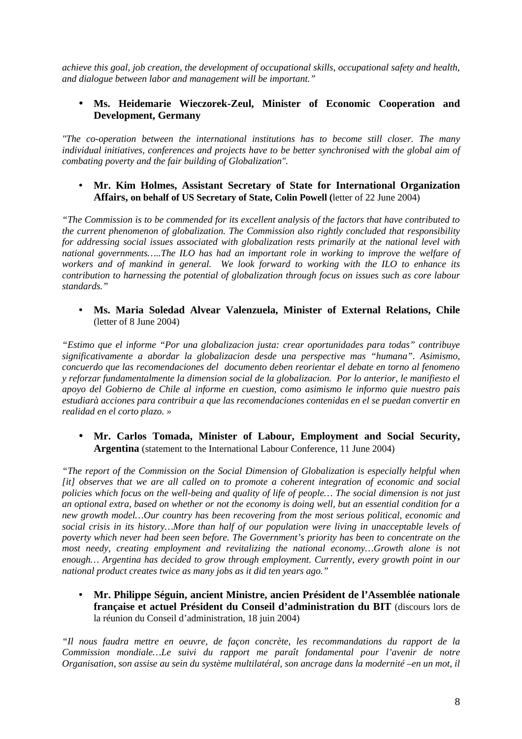*achieve this goal, job creation, the development of occupational skills, occupational safety and health, and dialogue between labor and management will be important."*

## • **Ms. Heidemarie Wieczorek-Zeul, Minister of Economic Cooperation and Development, Germany**

*"The co-operation between the international institutions has to become still closer. The many individual initiatives, conferences and projects have to be better synchronised with the global aim of combating poverty and the fair building of Globalization".*

#### • **Mr. Kim Holmes, Assistant Secretary of State for International Organization Affairs, on behalf of US Secretary of State, Colin Powell (**letter of 22 June 2004)

*"The Commission is to be commended for its excellent analysis of the factors that have contributed to the current phenomenon of globalization. The Commission also rightly concluded that responsibility for addressing social issues associated with globalization rests primarily at the national level with national governments…..The ILO has had an important role in working to improve the welfare of workers and of mankind in general. We look forward to working with the ILO to enhance its contribution to harnessing the potential of globalization through focus on issues such as core labour standards."*

• **Ms. Maria Soledad Alvear Valenzuela, Minister of External Relations, Chile** (letter of 8 June 2004)

*"Estimo que el informe "Por una globalizacion justa: crear oportunidades para todas" contribuye significativamente a abordar la globalizacion desde una perspective mas "humana". Asimismo, concuerdo que las recomendaciones del documento deben reorientar el debate en torno al fenomeno y reforzar fundamentalmente la dimension social de la globalizacion. Por lo anterior, le manifiesto el apoyo del Gobierno de Chile al informe en cuestion, como asimismo le informo quie nuestro pais estudiarà acciones para contribuir a que las recomendaciones contenidas en el se puedan convertir en realidad en el corto plazo. »*

• **Mr. Carlos Tomada, Minister of Labour, Employment and Social Security, Argentina** (statement to the International Labour Conference, 11 June 2004)

*"The report of the Commission on the Social Dimension of Globalization is especially helpful when [it] observes that we are all called on to promote a coherent integration of economic and social policies which focus on the well-being and quality of life of people… The social dimension is not just an optional extra, based on whether or not the economy is doing well, but an essential condition for a new growth model…Our country has been recovering from the most serious political, economic and social crisis in its history…More than half of our population were living in unacceptable levels of poverty which never had been seen before. The Government's priority has been to concentrate on the most needy, creating employment and revitalizing the national economy…Growth alone is not enough… Argentina has decided to grow through employment. Currently, every growth point in our national product creates twice as many jobs as it did ten years ago."*

• **Mr. Philippe Séguin, ancient Ministre, ancien Président de l'Assemblée nationale française et actuel Président du Conseil d'administration du BIT** (discours lors de la réunion du Conseil d'administration, 18 juin 2004)

*"Il nous faudra mettre en oeuvre, de façon concrète, les recommandations du rapport de la Commission mondiale…Le suivi du rapport me paraît fondamental pour l'avenir de notre Organisation, son assise au sein du système multilatéral, son ancrage dans la modernité –en un mot, il*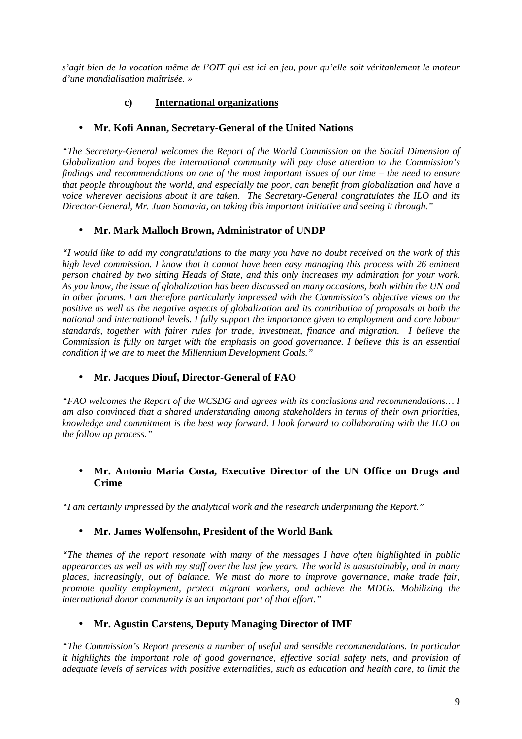*s'agit bien de la vocation même de l'OIT qui est ici en jeu, pour qu'elle soit véritablement le moteur d'une mondialisation maîtrisée. »* 

## **c) International organizations**

## • **Mr. Kofi Annan, Secretary-General of the United Nations**

*"The Secretary-General welcomes the Report of the World Commission on the Social Dimension of Globalization and hopes the international community will pay close attention to the Commission's findings and recommendations on one of the most important issues of our time – the need to ensure that people throughout the world, and especially the poor, can benefit from globalization and have a voice wherever decisions about it are taken. The Secretary-General congratulates the ILO and its Director-General, Mr. Juan Somavia, on taking this important initiative and seeing it through."*

## • **Mr. Mark Malloch Brown, Administrator of UNDP**

*"I would like to add my congratulations to the many you have no doubt received on the work of this high level commission. I know that it cannot have been easy managing this process with 26 eminent person chaired by two sitting Heads of State, and this only increases my admiration for your work. As you know, the issue of globalization has been discussed on many occasions, both within the UN and in other forums. I am therefore particularly impressed with the Commission's objective views on the positive as well as the negative aspects of globalization and its contribution of proposals at both the national and international levels. I fully support the importance given to employment and core labour standards, together with fairer rules for trade, investment, finance and migration. I believe the Commission is fully on target with the emphasis on good governance. I believe this is an essential condition if we are to meet the Millennium Development Goals."*

## • **Mr. Jacques Diouf, Director-General of FAO**

*"FAO welcomes the Report of the WCSDG and agrees with its conclusions and recommendations… I am also convinced that a shared understanding among stakeholders in terms of their own priorities, knowledge and commitment is the best way forward. I look forward to collaborating with the ILO on the follow up process."*

## • **Mr. Antonio Maria Costa, Executive Director of the UN Office on Drugs and Crime**

*"I am certainly impressed by the analytical work and the research underpinning the Report."*

## • **Mr. James Wolfensohn, President of the World Bank**

*"The themes of the report resonate with many of the messages I have often highlighted in public appearances as well as with my staff over the last few years. The world is unsustainably, and in many places, increasingly, out of balance. We must do more to improve governance, make trade fair, promote quality employment, protect migrant workers, and achieve the MDGs. Mobilizing the international donor community is an important part of that effort."*

## • **Mr. Agustin Carstens, Deputy Managing Director of IMF**

*"The Commission's Report presents a number of useful and sensible recommendations. In particular it highlights the important role of good governance, effective social safety nets, and provision of adequate levels of services with positive externalities, such as education and health care, to limit the*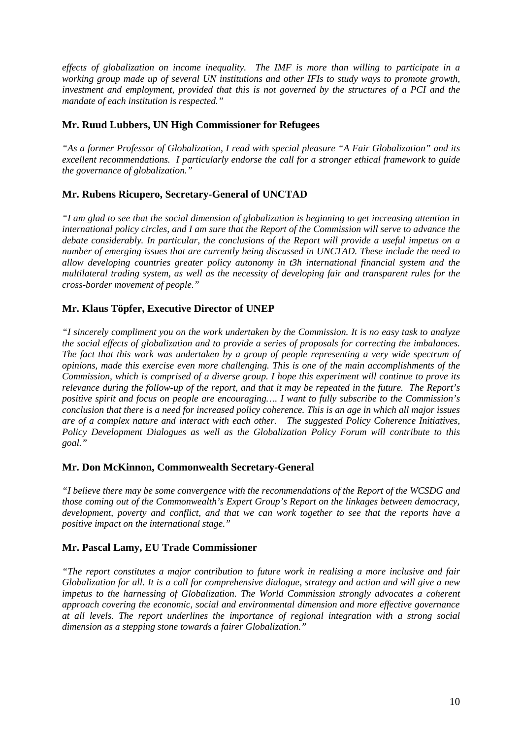*effects of globalization on income inequality. The IMF is more than willing to participate in a working group made up of several UN institutions and other IFIs to study ways to promote growth, investment and employment, provided that this is not governed by the structures of a PCI and the mandate of each institution is respected."*

#### **Mr. Ruud Lubbers, UN High Commissioner for Refugees**

*"As a former Professor of Globalization, I read with special pleasure "A Fair Globalization" and its excellent recommendations. I particularly endorse the call for a stronger ethical framework to guide the governance of globalization."*

## **Mr. Rubens Ricupero, Secretary-General of UNCTAD**

*"I am glad to see that the social dimension of globalization is beginning to get increasing attention in international policy circles, and I am sure that the Report of the Commission will serve to advance the debate considerably. In particular, the conclusions of the Report will provide a useful impetus on a number of emerging issues that are currently being discussed in UNCTAD. These include the need to allow developing countries greater policy autonomy in t3h international financial system and the multilateral trading system, as well as the necessity of developing fair and transparent rules for the cross-border movement of people."*

#### **Mr. Klaus Töpfer, Executive Director of UNEP**

*"I sincerely compliment you on the work undertaken by the Commission. It is no easy task to analyze the social effects of globalization and to provide a series of proposals for correcting the imbalances. The fact that this work was undertaken by a group of people representing a very wide spectrum of opinions, made this exercise even more challenging. This is one of the main accomplishments of the Commission, which is comprised of a diverse group. I hope this experiment will continue to prove its relevance during the follow-up of the report, and that it may be repeated in the future. The Report's positive spirit and focus on people are encouraging…. I want to fully subscribe to the Commission's conclusion that there is a need for increased policy coherence. This is an age in which all major issues are of a complex nature and interact with each other. The suggested Policy Coherence Initiatives, Policy Development Dialogues as well as the Globalization Policy Forum will contribute to this goal."*

#### **Mr. Don McKinnon, Commonwealth Secretary-General**

*"I believe there may be some convergence with the recommendations of the Report of the WCSDG and those coming out of the Commonwealth's Expert Group's Report on the linkages between democracy, development, poverty and conflict, and that we can work together to see that the reports have a positive impact on the international stage."*

#### **Mr. Pascal Lamy, EU Trade Commissioner**

*"The report constitutes a major contribution to future work in realising a more inclusive and fair Globalization for all. It is a call for comprehensive dialogue, strategy and action and will give a new impetus to the harnessing of Globalization. The World Commission strongly advocates a coherent approach covering the economic, social and environmental dimension and more effective governance at all levels. The report underlines the importance of regional integration with a strong social dimension as a stepping stone towards a fairer Globalization."*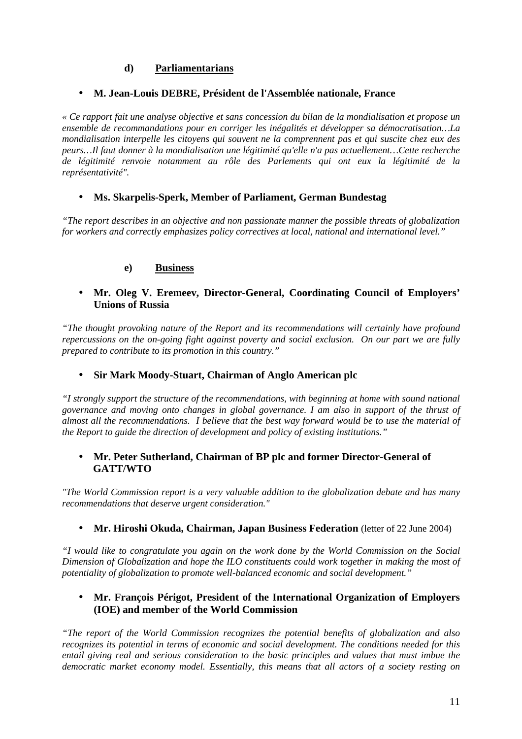## **d) Parliamentarians**

## • **M. Jean-Louis DEBRE, Président de l'Assemblée nationale, France**

*« Ce rapport fait une analyse objective et sans concession du bilan de la mondialisation et propose un ensemble de recommandations pour en corriger les inégalités et développer sa démocratisation…La mondialisation interpelle les citoyens qui souvent ne la comprennent pas et qui suscite chez eux des peurs…Il faut donner à la mondialisation une légitimité qu'elle n'a pas actuellement…Cette recherche de légitimité renvoie notamment au rôle des Parlements qui ont eux la légitimité de la représentativité".*

## • **Ms. Skarpelis-Sperk, Member of Parliament, German Bundestag**

*"The report describes in an objective and non passionate manner the possible threats of globalization for workers and correctly emphasizes policy correctives at local, national and international level."*

#### **e) Business**

#### • **Mr. Oleg V. Eremeev, Director-General, Coordinating Council of Employers' Unions of Russia**

*"The thought provoking nature of the Report and its recommendations will certainly have profound repercussions on the on-going fight against poverty and social exclusion. On our part we are fully prepared to contribute to its promotion in this country."* 

#### • **Sir Mark Moody-Stuart, Chairman of Anglo American plc**

*"I strongly support the structure of the recommendations, with beginning at home with sound national governance and moving onto changes in global governance. I am also in support of the thrust of almost all the recommendations. I believe that the best way forward would be to use the material of the Report to guide the direction of development and policy of existing institutions."*

#### • **Mr. Peter Sutherland, Chairman of BP plc and former Director-General of GATT/WTO**

*"The World Commission report is a very valuable addition to the globalization debate and has many recommendations that deserve urgent consideration."*

#### • **Mr. Hiroshi Okuda, Chairman, Japan Business Federation** (letter of 22 June 2004)

*"I would like to congratulate you again on the work done by the World Commission on the Social Dimension of Globalization and hope the ILO constituents could work together in making the most of potentiality of globalization to promote well-balanced economic and social development."*

## • **Mr. François Périgot, President of the International Organization of Employers (IOE) and member of the World Commission**

*"The report of the World Commission recognizes the potential benefits of globalization and also recognizes its potential in terms of economic and social development. The conditions needed for this entail giving real and serious consideration to the basic principles and values that must imbue the democratic market economy model. Essentially, this means that all actors of a society resting on*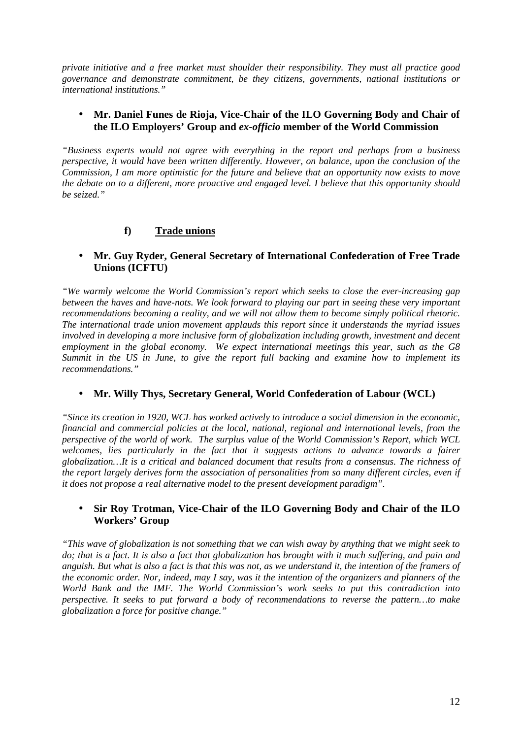*private initiative and a free market must shoulder their responsibility. They must all practice good governance and demonstrate commitment, be they citizens, governments, national institutions or international institutions."*

#### • **Mr. Daniel Funes de Rioja, Vice-Chair of the ILO Governing Body and Chair of the ILO Employers' Group and** *ex-officio* **member of the World Commission**

*"Business experts would not agree with everything in the report and perhaps from a business perspective, it would have been written differently. However, on balance, upon the conclusion of the Commission, I am more optimistic for the future and believe that an opportunity now exists to move the debate on to a different, more proactive and engaged level. I believe that this opportunity should be seized."*

## **f) Trade unions**

## • **Mr. Guy Ryder, General Secretary of International Confederation of Free Trade Unions (ICFTU)**

*"We warmly welcome the World Commission's report which seeks to close the ever-increasing gap between the haves and have-nots. We look forward to playing our part in seeing these very important recommendations becoming a reality, and we will not allow them to become simply political rhetoric. The international trade union movement applauds this report since it understands the myriad issues involved in developing a more inclusive form of globalization including growth, investment and decent employment in the global economy. We expect international meetings this year, such as the G8 Summit in the US in June, to give the report full backing and examine how to implement its recommendations."*

## • **Mr. Willy Thys, Secretary General, World Confederation of Labour (WCL)**

*"Since its creation in 1920, WCL has worked actively to introduce a social dimension in the economic, financial and commercial policies at the local, national, regional and international levels, from the perspective of the world of work. The surplus value of the World Commission's Report, which WCL welcomes, lies particularly in the fact that it suggests actions to advance towards a fairer globalization…It is a critical and balanced document that results from a consensus. The richness of the report largely derives form the association of personalities from so many different circles, even if it does not propose a real alternative model to the present development paradigm".*

#### • **Sir Roy Trotman, Vice-Chair of the ILO Governing Body and Chair of the ILO Workers' Group**

*"This wave of globalization is not something that we can wish away by anything that we might seek to do; that is a fact. It is also a fact that globalization has brought with it much suffering, and pain and anguish. But what is also a fact is that this was not, as we understand it, the intention of the framers of the economic order. Nor, indeed, may I say, was it the intention of the organizers and planners of the World Bank and the IMF. The World Commission's work seeks to put this contradiction into perspective. It seeks to put forward a body of recommendations to reverse the pattern…to make globalization a force for positive change."*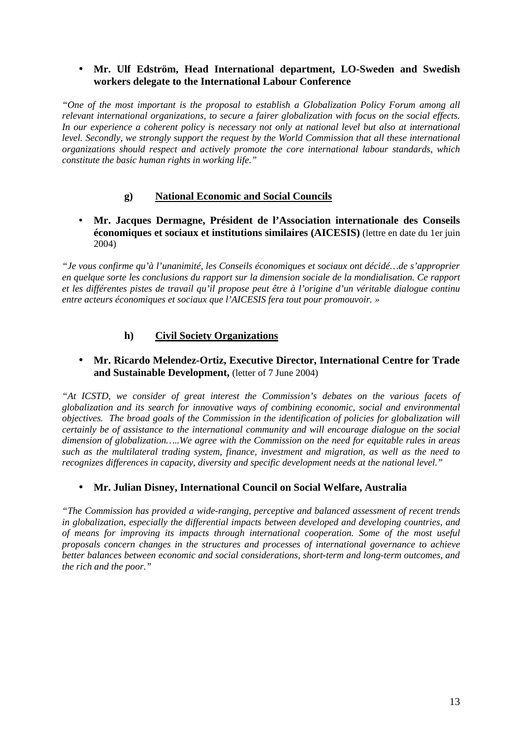## • **Mr. Ulf Edström, Head International department, LO-Sweden and Swedish workers delegate to the International Labour Conference**

*"One of the most important is the proposal to establish a Globalization Policy Forum among all relevant international organizations, to secure a fairer globalization with focus on the social effects. In our experience a coherent policy is necessary not only at national level but also at international level. Secondly, we strongly support the request by the World Commission that all these international organizations should respect and actively promote the core international labour standards, which constitute the basic human rights in working life."*

## **g) National Economic and Social Councils**

• **Mr. Jacques Dermagne, Président de l'Association internationale des Conseils économiques et sociaux et institutions similaires (AICESIS)** (lettre en date du 1er juin 2004)

*"Je vous confirme qu'à l'unanimité, les Conseils économiques et sociaux ont décidé…de s'approprier en quelque sorte les conclusions du rapport sur la dimension sociale de la mondialisation. Ce rapport et les différentes pistes de travail qu'il propose peut être à l'origine d'un véritable dialogue continu entre acteurs économiques et sociaux que l'AICESIS fera tout pour promouvoir. »*

## **h) Civil Society Organizations**

## • **Mr. Ricardo Melendez-Ortiz, Executive Director, International Centre for Trade and Sustainable Development,** (letter of 7 June 2004)

*"At ICSTD, we consider of great interest the Commission's debates on the various facets of globalization and its search for innovative ways of combining economic, social and environmental objectives. The broad goals of the Commission in the identification of policies for globalization will certainly be of assistance to the international community and will encourage dialogue on the social dimension of globalization…..We agree with the Commission on the need for equitable rules in areas such as the multilateral trading system, finance, investment and migration, as well as the need to recognizes differences in capacity, diversity and specific development needs at the national level."*

## • **Mr. Julian Disney, International Council on Social Welfare, Australia**

*"The Commission has provided a wide-ranging, perceptive and balanced assessment of recent trends in globalization, especially the differential impacts between developed and developing countries, and of means for improving its impacts through international cooperation. Some of the most useful proposals concern changes in the structures and processes of international governance to achieve better balances between economic and social considerations, short-term and long-term outcomes, and the rich and the poor."*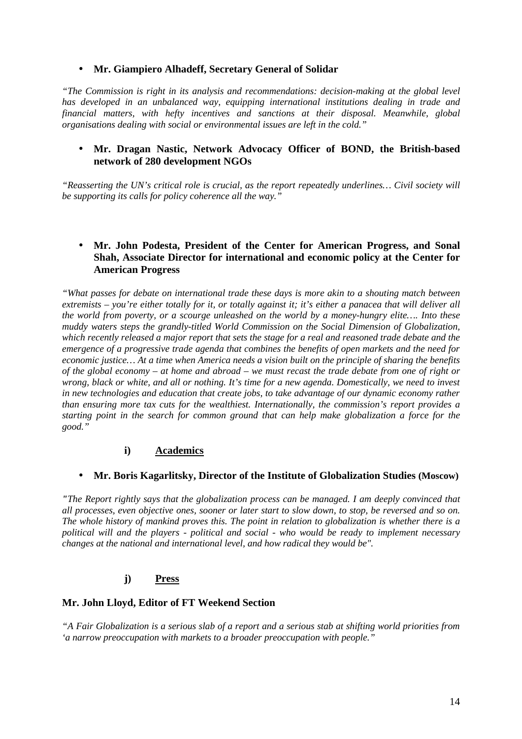#### • **Mr. Giampiero Alhadeff, Secretary General of Solidar**

*"The Commission is right in its analysis and recommendations: decision-making at the global level has developed in an unbalanced way, equipping international institutions dealing in trade and financial matters, with hefty incentives and sanctions at their disposal. Meanwhile, global organisations dealing with social or environmental issues are left in the cold."*

#### • **Mr. Dragan Nastic, Network Advocacy Officer of BOND, the British-based network of 280 development NGOs**

*"Reasserting the UN's critical role is crucial, as the report repeatedly underlines… Civil society will be supporting its calls for policy coherence all the way."*

#### • **Mr. John Podesta, President of the Center for American Progress, and Sonal Shah, Associate Director for international and economic policy at the Center for American Progress**

*"What passes for debate on international trade these days is more akin to a shouting match between extremists – you're either totally for it, or totally against it; it's either a panacea that will deliver all the world from poverty, or a scourge unleashed on the world by a money-hungry elite…. Into these muddy waters steps the grandly-titled World Commission on the Social Dimension of Globalization, which recently released a major report that sets the stage for a real and reasoned trade debate and the emergence of a progressive trade agenda that combines the benefits of open markets and the need for economic justice… At a time when America needs a vision built on the principle of sharing the benefits of the global economy – at home and abroad – we must recast the trade debate from one of right or wrong, black or white, and all or nothing. It's time for a new agenda. Domestically, we need to invest in new technologies and education that create jobs, to take advantage of our dynamic economy rather than ensuring more tax cuts for the wealthiest. Internationally, the commission's report provides a starting point in the search for common ground that can help make globalization a force for the good."*

## **i) Academics**

## • **Mr. Boris Kagarlitsky, Director of the Institute of Globalization Studies (Moscow)**

*"The Report rightly says that the globalization process can be managed. I am deeply convinced that all processes, even objective ones, sooner or later start to slow down, to stop, be reversed and so on. The whole history of mankind proves this. The point in relation to globalization is whether there is a political will and the players - political and social - who would be ready to implement necessary changes at the national and international level, and how radical they would be".*

## **j) Press**

#### **Mr. John Lloyd, Editor of FT Weekend Section**

*"A Fair Globalization is a serious slab of a report and a serious stab at shifting world priorities from 'a narrow preoccupation with markets to a broader preoccupation with people."*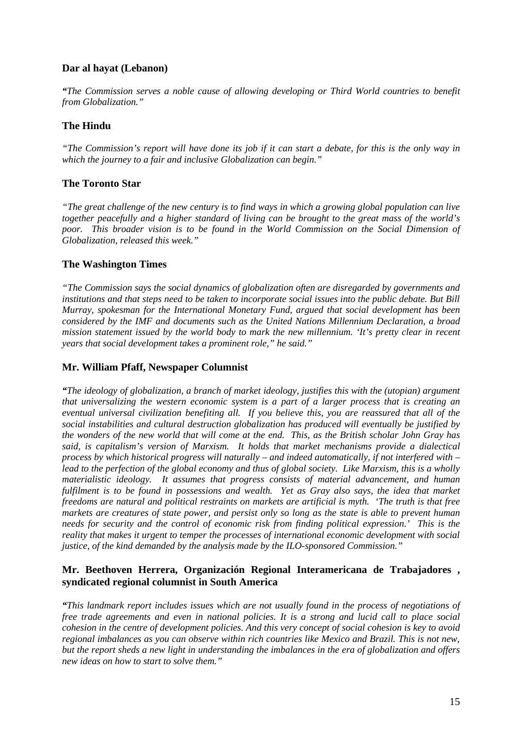## **Dar al hayat (Lebanon)**

*"The Commission serves a noble cause of allowing developing or Third World countries to benefit from Globalization."*

## **The Hindu**

*"The Commission's report will have done its job if it can start a debate, for this is the only way in which the journey to a fair and inclusive Globalization can begin."*

#### **The Toronto Star**

*"The great challenge of the new century is to find ways in which a growing global population can live together peacefully and a higher standard of living can be brought to the great mass of the world's poor. This broader vision is to be found in the World Commission on the Social Dimension of Globalization, released this week."*

#### **The Washington Times**

*"The Commission says the social dynamics of globalization often are disregarded by governments and institutions and that steps need to be taken to incorporate social issues into the public debate. But Bill Murray, spokesman for the International Monetary Fund, argued that social development has been considered by the IMF and documents such as the United Nations Millennium Declaration, a broad mission statement issued by the world body to mark the new millennium. 'It's pretty clear in recent years that social development takes a prominent role," he said."*

#### **Mr. William Pfaff, Newspaper Columnist**

*"The ideology of globalization, a branch of market ideology, justifies this with the (utopian) argument that universalizing the western economic system is a part of a larger process that is creating an eventual universal civilization benefiting all. If you believe this, you are reassured that all of the social instabilities and cultural destruction globalization has produced will eventually be justified by the wonders of the new world that will come at the end. This, as the British scholar John Gray has said, is capitalism's version of Marxism. It holds that market mechanisms provide a dialectical process by which historical progress will naturally – and indeed automatically, if not interfered with – lead to the perfection of the global economy and thus of global society. Like Marxism, this is a wholly materialistic ideology. It assumes that progress consists of material advancement, and human fulfilment is to be found in possessions and wealth. Yet as Gray also says, the idea that market freedoms are natural and political restraints on markets are artificial is myth. 'The truth is that free markets are creatures of state power, and persist only so long as the state is able to prevent human needs for security and the control of economic risk from finding political expression.' This is the reality that makes it urgent to temper the processes of international economic development with social justice, of the kind demanded by the analysis made by the ILO-sponsored Commission."*

#### **Mr. Beethoven Herrera, Organización Regional Interamericana de Trabajadores , syndicated regional columnist in South America**

*"This landmark report includes issues which are not usually found in the process of negotiations of free trade agreements and even in national policies. It is a strong and lucid call to place social cohesion in the centre of development policies. And this very concept of social cohesion is key to avoid regional imbalances as you can observe within rich countries like Mexico and Brazil. This is not new, but the report sheds a new light in understanding the imbalances in the era of globalization and offers new ideas on how to start to solve them."*